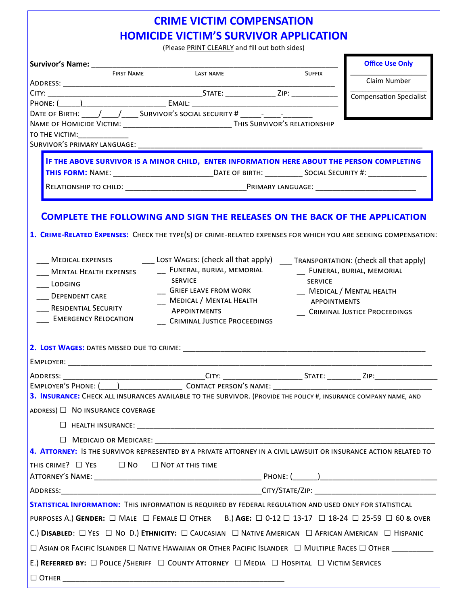# **CRIME VICTIM COMPENSATION HOMICIDE VICTIM'S SURVIVOR APPLICATION**

(Please PRINT CLEARLY and fill out both sides)

|                                                                                                                                                                                                      |  |                     | <b>Office Use Only</b>         |  |  |
|------------------------------------------------------------------------------------------------------------------------------------------------------------------------------------------------------|--|---------------------|--------------------------------|--|--|
| <b>FIRST NAME</b><br>LAST NAME                                                                                                                                                                       |  | <b>SUFFIX</b>       | Claim Number                   |  |  |
|                                                                                                                                                                                                      |  |                     | <b>Compensation Specialist</b> |  |  |
|                                                                                                                                                                                                      |  |                     |                                |  |  |
|                                                                                                                                                                                                      |  |                     |                                |  |  |
| NAME OF HOMICIDE VICTIM: ___________________________________THIS SURVIVOR'S RELATIONSHIP                                                                                                             |  |                     |                                |  |  |
| TO THE VICTIM:_____________                                                                                                                                                                          |  |                     |                                |  |  |
|                                                                                                                                                                                                      |  |                     |                                |  |  |
| IF THE ABOVE SURVIVOR IS A MINOR CHILD, ENTER INFORMATION HERE ABOUT THE PERSON COMPLETING                                                                                                           |  |                     |                                |  |  |
|                                                                                                                                                                                                      |  |                     |                                |  |  |
|                                                                                                                                                                                                      |  |                     |                                |  |  |
|                                                                                                                                                                                                      |  |                     |                                |  |  |
| <b>COMPLETE THE FOLLOWING AND SIGN THE RELEASES ON THE BACK OF THE APPLICATION</b><br>1. CRIME-RELATED EXPENSES: CHECK THE TYPE(S) OF CRIME-RELATED EXPENSES FOR WHICH YOU ARE SEEKING COMPENSATION: |  |                     |                                |  |  |
| LOST WAGES: (check all that apply) TRANSPORTATION: (check all that apply)<br><b>MEDICAL EXPENSES</b>                                                                                                 |  |                     |                                |  |  |
| __ FUNERAL, BURIAL, MEMORIAL<br><b>MENTAL HEALTH EXPENSES</b>                                                                                                                                        |  |                     | __ FUNERAL, BURIAL, MEMORIAL   |  |  |
| <b>SERVICE</b><br>LODGING                                                                                                                                                                            |  | <b>SERVICE</b>      |                                |  |  |
| <b>GRIEF LEAVE FROM WORK</b><br><b>DEPENDENT CARE</b>                                                                                                                                                |  |                     | __ MEDICAL / MENTAL HEALTH     |  |  |
| MEDICAL / MENTAL HEALTH<br><b>RESIDENTIAL SECURITY</b>                                                                                                                                               |  | <b>APPOINTMENTS</b> |                                |  |  |
| <b>APPOINTMENTS</b><br><b>EMERGENCY RELOCATION</b><br>CRIMINAL JUSTICE PROCEEDINGS                                                                                                                   |  |                     | CRIMINAL JUSTICE PROCEEDINGS   |  |  |
|                                                                                                                                                                                                      |  |                     |                                |  |  |
|                                                                                                                                                                                                      |  |                     |                                |  |  |
|                                                                                                                                                                                                      |  |                     |                                |  |  |
| 3. INSURANCE: CHECK ALL INSURANCES AVAILABLE TO THE SURVIVOR. (PROVIDE THE POLICY #, INSURANCE COMPANY NAME, AND                                                                                     |  |                     |                                |  |  |
| ADDRESS) □ NO INSURANCE COVERAGE                                                                                                                                                                     |  |                     |                                |  |  |
|                                                                                                                                                                                                      |  |                     |                                |  |  |
| $\Box$ Medicald or Medicare: $\Box$                                                                                                                                                                  |  |                     |                                |  |  |
| 4. ATTORNEY: IS THE SURVIVOR REPRESENTED BY A PRIVATE ATTORNEY IN A CIVIL LAWSUIT OR INSURANCE ACTION RELATED TO                                                                                     |  |                     |                                |  |  |
| THIS CRIME? □ YES □ NO □ NOT AT THIS TIME                                                                                                                                                            |  |                     |                                |  |  |
|                                                                                                                                                                                                      |  |                     |                                |  |  |
|                                                                                                                                                                                                      |  |                     |                                |  |  |
| STATISTICAL INFORMATION: THIS INFORMATION IS REQUIRED BY FEDERAL REGULATION AND USED ONLY FOR STATISTICAL                                                                                            |  |                     |                                |  |  |
| PURPOSES A.) GENDER: $\Box$ MALE $\Box$ FEMALE $\Box$ OTHER B.) AGE: $\Box$ 0-12 $\Box$ 13-17 $\Box$ 18-24 $\Box$ 25-59 $\Box$ 60 & OVER                                                             |  |                     |                                |  |  |
| C.) DISABLED: $\Box$ YES $\Box$ NO D.) ETHNICITY: $\Box$ CAUCASIAN $\Box$ NATIVE AMERICAN $\Box$ AFRICAN AMERICAN $\Box$ HISPANIC                                                                    |  |                     |                                |  |  |
| □ ASIAN OR FACIFIC ISLANDER □ NATIVE HAWAIIAN OR OTHER PACIFIC ISLANDER □ MULTIPLE RACES □ OTHER _________                                                                                           |  |                     |                                |  |  |
| E.) REFERRED BY: $\Box$ POLICE / SHERIFF $\Box$ COUNTY ATTORNEY $\Box$ MEDIA $\Box$ HOSPITAL $\Box$ VICTIM SERVICES                                                                                  |  |                     |                                |  |  |
|                                                                                                                                                                                                      |  |                     |                                |  |  |